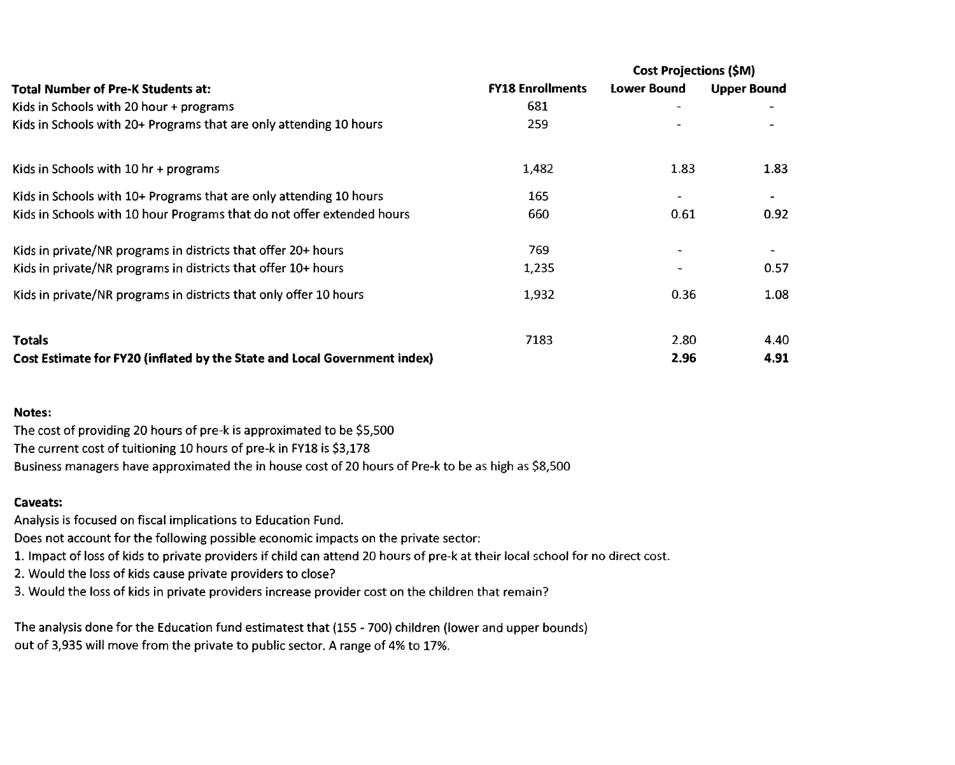| <b>Total Number of Pre-K Students at:</b>                                 | <b>FY18 Enrollments</b> | <b>Cost Projections (\$M)</b> |                    |
|---------------------------------------------------------------------------|-------------------------|-------------------------------|--------------------|
|                                                                           |                         | Lower Bound                   | <b>Upper Bound</b> |
| Kids in Schools with 20 hour + programs                                   | 681                     |                               |                    |
| Kids in Schools with 20+ Programs that are only attending 10 hours        | 259                     |                               |                    |
| Kids in Schools with 10 hr + programs                                     | 1,482                   | 1.83                          | 1.83               |
| Kids in Schools with 10+ Programs that are only attending 10 hours        | 165                     |                               |                    |
| Kids in Schools with 10 hour Programs that do not offer extended hours    | 660                     | 0.61                          | 0.92               |
| Kids in private/NR programs in districts that offer 20+ hours             | 769                     |                               |                    |
| Kids in private/NR programs in districts that offer 10+ hours             | 1,235                   |                               | 0.57               |
| Kids in private/NR programs in districts that only offer 10 hours         | 1,932                   | 0.36                          | 1.08               |
| <b>Totals</b>                                                             | 7183                    | 2.80                          | 4.40               |
| Cost Estimate for FY20 (inflated by the State and Local Government index) |                         | 2.96                          | 4.91               |

## **Notes:**

The cost of providing 20 hours of pre-k is approximated to be \$5,500 The current cost of tuitioning 10 hours of pre-k in FY18 is \$3,178 Business managers have approximated the in house cost of 20 hours of Pre-k to be as high as \$8,500

## **Caveats:**

Analysis is focused on fiscal implications to Education Fund.

Does not account for the following possible economic impacts on the private sector:

1. Impact of loss of kids to private providers if child can attend 20 hours of pre-k at their local school for no direct cost.

2. Would the loss of kids cause private providers to close?

3. Would the loss of kids in private providers increase provider cost on the children that remain?

The analysis done for the Education fund estimatest that (155 - 700) children (lower and upper bounds) out of 3,935 will move from the private to public sector. A range of 4% to 17%.